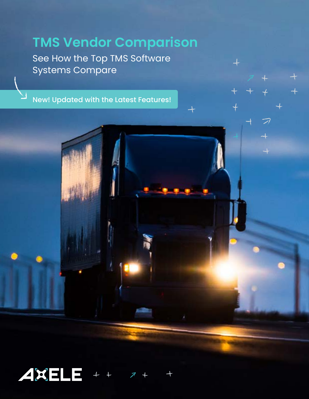# **TMS Vendor Comparison**

 $\overline{\phantom{a}}$ 

 $+$ 

 $\overline{+}$ 

 $+$ 

 $\overline{\mathcal{D}}$ 

 $\rightarrow$ 

See How the Top TMS Software Systems Compare

New! Updated with the Latest Features!

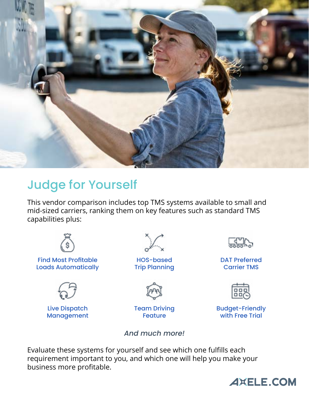

## Judge for Yourself

This vendor comparison includes top TMS systems available to small and mid-sized carriers, ranking them on key features such as standard TMS capabilities plus:



Find Most Profitable Loads Automatically



Live Dispatch Management



HOS-based Trip Planning



Team Driving Feature

*And much more!*



DAT Preferred Carrier TMS



Budget-Friendly with Free Trial

Evaluate these systems for yourself and see which one fulfills each requirement important to you, and which one will help you make your business more profitable.

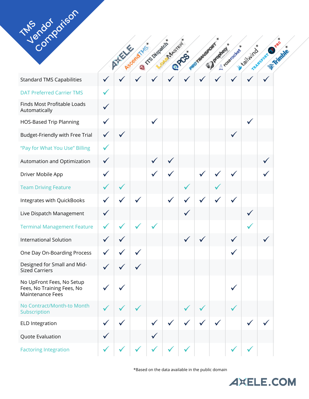| TMP doi driso                                                               |              |        |              |                    |                   |             |             |           |                |          |                             |  |
|-----------------------------------------------------------------------------|--------------|--------|--------------|--------------------|-------------------|-------------|-------------|-----------|----------------|----------|-----------------------------|--|
|                                                                             |              |        |              |                    | <b>Interested</b> |             |             |           |                |          |                             |  |
|                                                                             |              | ATESTE | AscendityEs  | <b>CE Dispatch</b> |                   | <b>OPES</b> | PROTAMEROOK | Jacopiesy | Cl Yoserocker* | Leathing | TRANSPORT OFFER<br>Trimble. |  |
| <b>Standard TMS Capabilities</b>                                            |              |        |              |                    |                   |             |             |           |                |          |                             |  |
| <b>DAT Preferred Carrier TMS</b>                                            |              |        |              |                    |                   |             |             |           |                |          |                             |  |
| Finds Most Profitable Loads<br>Automatically                                | $\checkmark$ |        |              |                    |                   |             |             |           |                |          |                             |  |
| <b>HOS-Based Trip Planning</b>                                              | $\checkmark$ |        |              | $\checkmark$       |                   |             |             |           |                |          |                             |  |
| Budget-Friendly with Free Trial                                             | $\checkmark$ |        |              |                    |                   |             |             |           |                |          |                             |  |
| "Pay for What You Use" Billing                                              | $\checkmark$ |        |              |                    |                   |             |             |           |                |          |                             |  |
| Automation and Optimization                                                 | $\checkmark$ |        |              |                    |                   |             |             |           |                |          |                             |  |
| Driver Mobile App                                                           | $\checkmark$ |        |              |                    |                   |             |             |           |                |          |                             |  |
| <b>Team Driving Feature</b>                                                 | $\checkmark$ |        |              |                    |                   |             |             |           |                |          |                             |  |
| Integrates with QuickBooks                                                  | $\checkmark$ |        |              |                    |                   |             |             |           |                |          |                             |  |
| Live Dispatch Management                                                    | $\checkmark$ |        |              |                    |                   |             |             |           |                |          |                             |  |
| <b>Terminal Management Feature</b>                                          | ✔            |        |              |                    |                   |             |             |           |                |          |                             |  |
| International Solution                                                      |              |        |              |                    |                   |             |             |           |                |          |                             |  |
| One Day On-Boarding Process                                                 |              |        | $\checkmark$ |                    |                   |             |             |           |                |          |                             |  |
| Designed for Small and Mid-<br><b>Sized Carriers</b>                        | $\checkmark$ |        |              |                    |                   |             |             |           |                |          |                             |  |
| No UpFront Fees, No Setup<br>Fees, No Training Fees, No<br>Maintenance Fees |              |        |              |                    |                   |             |             |           |                |          |                             |  |
| No Contract/Month-to Month<br>Subscription                                  |              |        | $\checkmark$ |                    |                   |             |             |           |                |          |                             |  |
| <b>ELD Integration</b>                                                      |              |        |              | $\checkmark$       | $\checkmark$      |             |             |           |                |          |                             |  |
| Quote Evaluation                                                            | $\checkmark$ |        |              |                    |                   |             |             |           |                |          |                             |  |
| <b>Factoring Integration</b>                                                |              |        |              |                    |                   |             |             |           |                |          |                             |  |

\*Based on the data available in the public domain

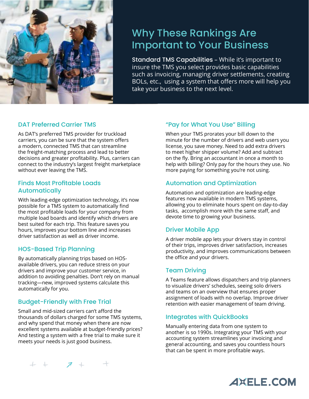

## Why These Rankings Are Important to Your Business

Standard TMS Capabilities – While it's important to insure the TMS you select provides basic capabilities such as invoicing, managing driver settlements, creating BOLs, etc., using a system that offers more will help you take your business to the next level.

#### DAT Preferred Carrier TMS

As DAT's preferred TMS provider for truckload carriers, you can be sure that the system offers a modern, connected TMS that can streamline the freight-matching process and lead to better decisions and greater profitability. Plus, carriers can connect to the industry's largest freight marketplace without ever leaving the TMS.

#### Finds Most Profitable Loads Automatically

With leading-edge optimization technology, it's now possible for a TMS system to automatically find the most profitable loads for your company from multiple load boards and identify which drivers are best suited for each trip. This feature saves you hours, improves your bottom line and increases driver satisfaction as well as driver income.

#### HOS-Based Trip Planning

By automatically planning trips based on HOSavailable drivers, you can reduce stress on your drivers and improve your customer service, in addition to avoiding penalties. Don't rely on manual tracking—new, improved systems calculate this automatically for you.

#### Budget-Friendly with Free Trial

 $++$   $7+$ 

Small and mid-sized carriers can't afford the thousands of dollars charged for some TMS systems, and why spend that money when there are now excellent systems available at budget-friendly prices? And testing a system with a free trial to make sure it meets your needs is just good business.

#### "Pay for What You Use" Billing

When your TMS prorates your bill down to the minute for the number of drivers and web users you license, you save money. Need to add extra drivers to meet higher shipper volume? Add and subtract on the fly. Bring an accountant in once a month to help with billing? Only pay for the hours they use. No more paying for something you're not using.

#### Automation and Optimization

Automation and optimization are leading-edge features now available in modern TMS systems, allowing you to eliminate hours spent on day-to-day tasks, accomplish more with the same staff, and devote time to growing your business.

#### Driver Mobile App

A driver mobile app lets your drivers stay in control of their trips, improves driver satisfaction, increases productivity, and improves communications between the office and your drivers.

#### Team Driving

A Teams feature allows dispatchers and trip planners to visualize drivers' schedules, seeing solo drivers and teams on an overview that ensures proper assignment of loads with no overlap. Improve driver retention with easier management of team driving.

#### Integrates with QuickBooks

Manually entering data from one system to another is so 1990s. Integrating your TMS with your accounting system streamlines your invoicing and general accounting, and saves you countless hours that can be spent in more profitable ways.

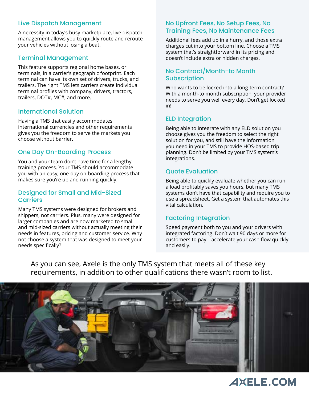#### Live Dispatch Management

A necessity in today's busy marketplace, live dispatch management allows you to quickly route and reroute your vehicles without losing a beat.

#### Terminal Management

This feature supports regional home bases, or terminals, in a carrier's geographic footprint. Each terminal can have its own set of drivers, trucks, and trailers. The right TMS lets carriers create individual terminal profiles with company, drivers, tractors, trailers, DOT#, MC#, and more.

#### International Solution

Having a TMS that easily accommodates international currencies and other requirements gives you the freedom to serve the markets you choose without barrier.

#### One Day On-Boarding Process

You and your team don't have time for a lengthy training process. Your TMS should accommodate you with an easy, one-day on-boarding process that makes sure you're up and running quickly.

#### Designed for Small and Mid-Sized **Carriers**

Many TMS systems were designed for brokers and shippers, not carriers. Plus, many were designed for larger companies and are now marketed to small and mid-sized carriers without actually meeting their needs in features, pricing and customer service. Why not choose a system that was designed to meet your needs specifically?

#### No Upfront Fees, No Setup Fees, No Training Fees, No Maintenance Fees

Additional fees add up in a hurry, and those extra charges cut into your bottom line. Choose a TMS system that's straightforward in its pricing and doesn't include extra or hidden charges.

#### No Contract/Month-to Month **Subscription**

Who wants to be locked into a long-term contract? With a month-to month subscription, your provider needs to serve you well every day. Don't get locked in!

#### ELD Integration

Being able to integrate with any ELD solution you choose gives you the freedom to select the right solution for you, and still have the information you need in your TMS to provide HOS-based trip planning. Don't be limited by your TMS system's integrations.

#### Quote Evaluation

Being able to quickly evaluate whether you can run a load profitably saves you hours, but many TMS systems don't have that capability and require you to use a spreadsheet. Get a system that automates this vital calculation.

#### Factoring Integration

Speed payment both to you and your drivers with integrated factoring. Don't wait 90 days or more for customers to pay—accelerate your cash flow quickly and easily.

As you can see, Axele is the only TMS system that meets all of these key requirements, in addition to other qualifications there wasn't room to list.



## **AXELE.COM**